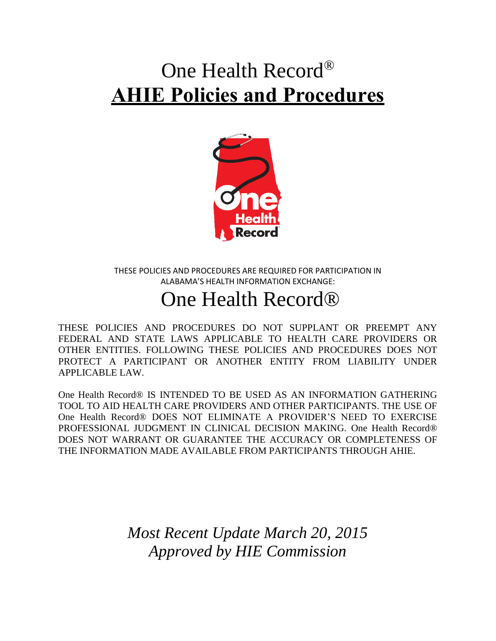# One Health Record® **AHIE Policies and Procedures**



THESE POLICIES AND PROCEDURES ARE REQUIRED FOR PARTICIPATION IN ALABAMA'S HEALTH INFORMATION EXCHANGE:

## One Health Record®

THESE POLICIES AND PROCEDURES DO NOT SUPPLANT OR PREEMPT ANY FEDERAL AND STATE LAWS APPLICABLE TO HEALTH CARE PROVIDERS OR OTHER ENTITIES. FOLLOWING THESE POLICIES AND PROCEDURES DOES NOT PROTECT A PARTICIPANT OR ANOTHER ENTITY FROM LIABILITY UNDER APPLICABLE LAW.

One Health Record® IS INTENDED TO BE USED AS AN INFORMATION GATHERING TOOL TO AID HEALTH CARE PROVIDERS AND OTHER PARTICIPANTS. THE USE OF One Health Record® DOES NOT ELIMINATE A PROVIDER'S NEED TO EXERCISE PROFESSIONAL JUDGMENT IN CLINICAL DECISION MAKING. One Health Record® DOES NOT WARRANT OR GUARANTEE THE ACCURACY OR COMPLETENESS OF THE INFORMATION MADE AVAILABLE FROM PARTICIPANTS THROUGH AHIE.

> *Most Recent Update March 20, 2015 Approved by HIE Commission*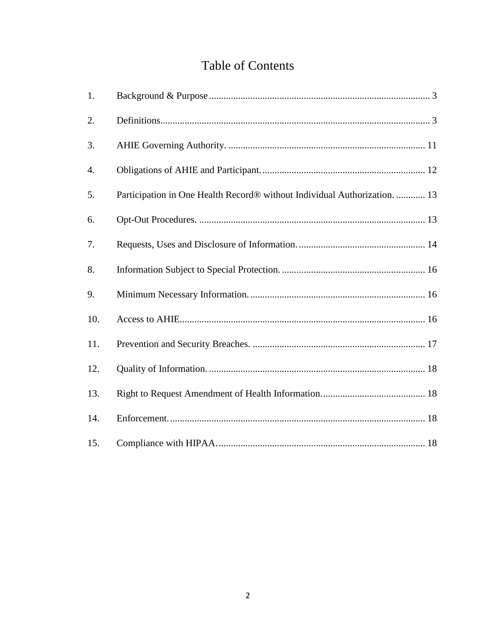### **Table of Contents**

| 1.  |                                                                           |
|-----|---------------------------------------------------------------------------|
| 2.  |                                                                           |
| 3.  |                                                                           |
| 4.  |                                                                           |
| 5.  | Participation in One Health Record® without Individual Authorization.  13 |
| 6.  |                                                                           |
| 7.  |                                                                           |
| 8.  |                                                                           |
| 9.  |                                                                           |
| 10. |                                                                           |
| 11. |                                                                           |
| 12. |                                                                           |
| 13. |                                                                           |
| 14. |                                                                           |
| 15. |                                                                           |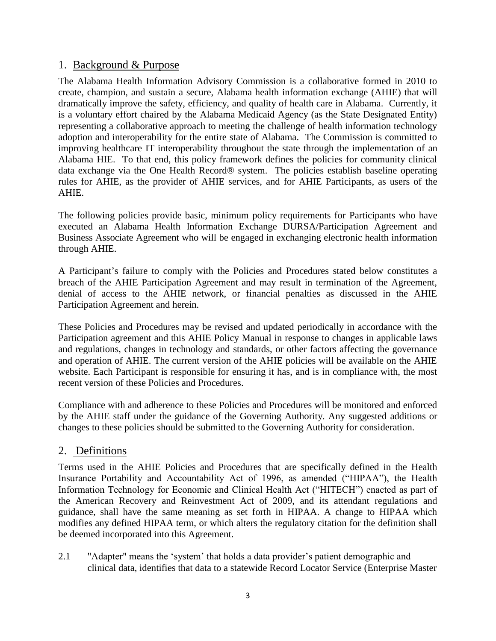#### <span id="page-2-0"></span>1. Background & Purpose

The Alabama Health Information Advisory Commission is a collaborative formed in 2010 to create, champion, and sustain a secure, Alabama health information exchange (AHIE) that will dramatically improve the safety, efficiency, and quality of health care in Alabama. Currently, it is a voluntary effort chaired by the Alabama Medicaid Agency (as the State Designated Entity) representing a collaborative approach to meeting the challenge of health information technology adoption and interoperability for the entire state of Alabama. The Commission is committed to improving healthcare IT interoperability throughout the state through the implementation of an Alabama HIE. To that end, this policy framework defines the policies for community clinical data exchange via the One Health Record® system. The policies establish baseline operating rules for AHIE, as the provider of AHIE services, and for AHIE Participants, as users of the AHIE.

The following policies provide basic, minimum policy requirements for Participants who have executed an Alabama Health Information Exchange DURSA/Participation Agreement and Business Associate Agreement who will be engaged in exchanging electronic health information through AHIE.

A Participant's failure to comply with the Policies and Procedures stated below constitutes a breach of the AHIE Participation Agreement and may result in termination of the Agreement, denial of access to the AHIE network, or financial penalties as discussed in the AHIE Participation Agreement and herein.

These Policies and Procedures may be revised and updated periodically in accordance with the Participation agreement and this AHIE Policy Manual in response to changes in applicable laws and regulations, changes in technology and standards, or other factors affecting the governance and operation of AHIE. The current version of the AHIE policies will be available on the AHIE website. Each Participant is responsible for ensuring it has, and is in compliance with, the most recent version of these Policies and Procedures.

Compliance with and adherence to these Policies and Procedures will be monitored and enforced by the AHIE staff under the guidance of the Governing Authority. Any suggested additions or changes to these policies should be submitted to the Governing Authority for consideration.

#### <span id="page-2-1"></span>2. Definitions

Terms used in the AHIE Policies and Procedures that are specifically defined in the Health Insurance Portability and Accountability Act of 1996, as amended ("HIPAA"), the Health Information Technology for Economic and Clinical Health Act ("HITECH") enacted as part of the American Recovery and Reinvestment Act of 2009, and its attendant regulations and guidance, shall have the same meaning as set forth in HIPAA. A change to HIPAA which modifies any defined HIPAA term, or which alters the regulatory citation for the definition shall be deemed incorporated into this Agreement.

2.1 "Adapter" means the 'system' that holds a data provider's patient demographic and clinical data, identifies that data to a statewide Record Locator Service (Enterprise Master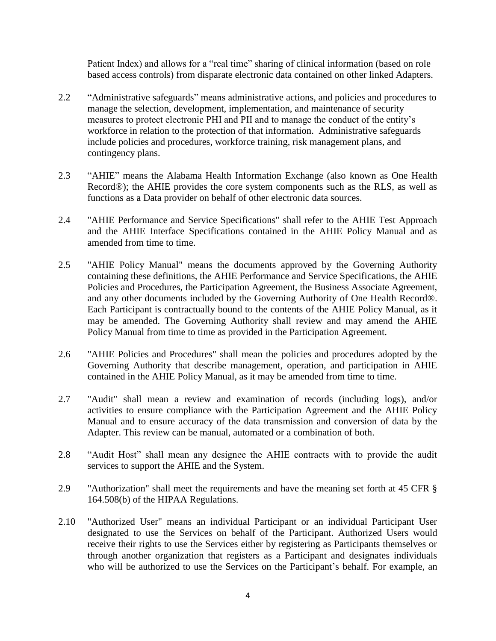Patient Index) and allows for a "real time" sharing of clinical information (based on role based access controls) from disparate electronic data contained on other linked Adapters.

- 2.2 "Administrative safeguards" means administrative actions, and policies and procedures to manage the selection, development, implementation, and maintenance of security measures to protect electronic PHI and PII and to manage the conduct of the entity's workforce in relation to the protection of that information. Administrative safeguards include policies and procedures, workforce training, risk management plans, and contingency plans.
- 2.3 "AHIE" means the Alabama Health Information Exchange (also known as One Health Record®); the AHIE provides the core system components such as the RLS, as well as functions as a Data provider on behalf of other electronic data sources.
- 2.4 "AHIE Performance and Service Specifications" shall refer to the AHIE Test Approach and the AHIE Interface Specifications contained in the AHIE Policy Manual and as amended from time to time.
- 2.5 "AHIE Policy Manual" means the documents approved by the Governing Authority containing these definitions, the AHIE Performance and Service Specifications, the AHIE Policies and Procedures, the Participation Agreement, the Business Associate Agreement, and any other documents included by the Governing Authority of One Health Record®. Each Participant is contractually bound to the contents of the AHIE Policy Manual, as it may be amended. The Governing Authority shall review and may amend the AHIE Policy Manual from time to time as provided in the Participation Agreement.
- 2.6 "AHIE Policies and Procedures" shall mean the policies and procedures adopted by the Governing Authority that describe management, operation, and participation in AHIE contained in the AHIE Policy Manual, as it may be amended from time to time.
- 2.7 "Audit" shall mean a review and examination of records (including logs), and/or activities to ensure compliance with the Participation Agreement and the AHIE Policy Manual and to ensure accuracy of the data transmission and conversion of data by the Adapter. This review can be manual, automated or a combination of both.
- 2.8 "Audit Host" shall mean any designee the AHIE contracts with to provide the audit services to support the AHIE and the System.
- 2.9 "Authorization" shall meet the requirements and have the meaning set forth at 45 CFR § 164.508(b) of the HIPAA Regulations.
- 2.10 "Authorized User" means an individual Participant or an individual Participant User designated to use the Services on behalf of the Participant. Authorized Users would receive their rights to use the Services either by registering as Participants themselves or through another organization that registers as a Participant and designates individuals who will be authorized to use the Services on the Participant's behalf. For example, an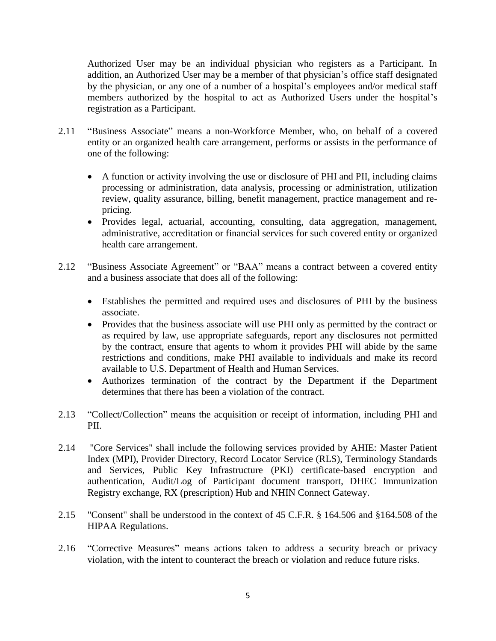Authorized User may be an individual physician who registers as a Participant. In addition, an Authorized User may be a member of that physician's office staff designated by the physician, or any one of a number of a hospital's employees and/or medical staff members authorized by the hospital to act as Authorized Users under the hospital's registration as a Participant.

- 2.11 "Business Associate" means a non-Workforce Member, who, on behalf of a covered entity or an organized health care arrangement, performs or assists in the performance of one of the following:
	- A function or activity involving the use or disclosure of PHI and PII, including claims processing or administration, data analysis, processing or administration, utilization review, quality assurance, billing, benefit management, practice management and repricing.
	- Provides legal, actuarial, accounting, consulting, data aggregation, management, administrative, accreditation or financial services for such covered entity or organized health care arrangement.
- 2.12 "Business Associate Agreement" or "BAA" means a contract between a covered entity and a business associate that does all of the following:
	- Establishes the permitted and required uses and disclosures of PHI by the business associate.
	- Provides that the business associate will use PHI only as permitted by the contract or as required by law, use appropriate safeguards, report any disclosures not permitted by the contract, ensure that agents to whom it provides PHI will abide by the same restrictions and conditions, make PHI available to individuals and make its record available to U.S. Department of Health and Human Services.
	- Authorizes termination of the contract by the Department if the Department determines that there has been a violation of the contract.
- 2.13 "Collect/Collection" means the acquisition or receipt of information, including PHI and PII.
- 2.14 "Core Services" shall include the following services provided by AHIE: Master Patient Index (MPI), Provider Directory, Record Locator Service (RLS), Terminology Standards and Services, Public Key Infrastructure (PKI) certificate-based encryption and authentication, Audit/Log of Participant document transport, DHEC Immunization Registry exchange, RX (prescription) Hub and NHIN Connect Gateway.
- 2.15 "Consent" shall be understood in the context of 45 C.F.R. § 164.506 and §164.508 of the HIPAA Regulations.
- 2.16 "Corrective Measures" means actions taken to address a security breach or privacy violation, with the intent to counteract the breach or violation and reduce future risks.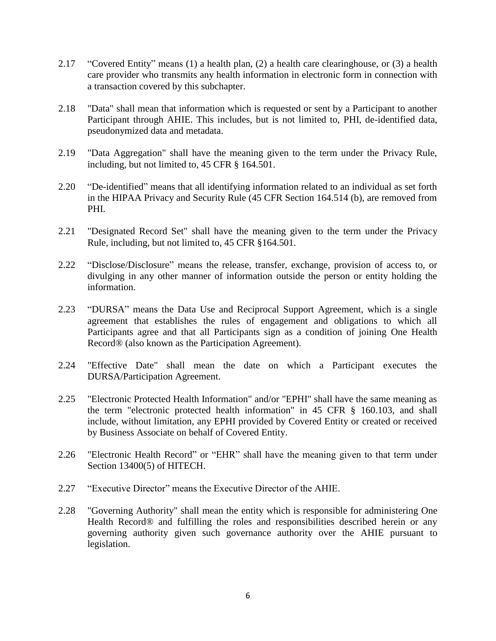- 2.17 "Covered Entity" means (1) a health plan, (2) a health care clearinghouse, or (3) a health care provider who transmits any health information in electronic form in connection with a transaction covered by this subchapter.
- 2.18 "Data" shall mean that information which is requested or sent by a Participant to another Participant through AHIE. This includes, but is not limited to, PHI, de-identified data, pseudonymized data and metadata.
- 2.19 "Data Aggregation" shall have the meaning given to the term under the Privacy Rule, including, but not limited to, 45 CFR § 164.501.
- 2.20 "De-identified" means that all identifying information related to an individual as set forth in the HIPAA Privacy and Security Rule (45 CFR Section 164.514 (b), are removed from PHI.
- 2.21 "Designated Record Set" shall have the meaning given to the term under the Privacy Rule, including, but not limited to, 45 CFR §164.501.
- 2.22 "Disclose/Disclosure" means the release, transfer, exchange, provision of access to, or divulging in any other manner of information outside the person or entity holding the information.
- 2.23 "DURSA" means the Data Use and Reciprocal Support Agreement, which is a single agreement that establishes the rules of engagement and obligations to which all Participants agree and that all Participants sign as a condition of joining One Health Record® (also known as the Participation Agreement).
- 2.24 "Effective Date" shall mean the date on which a Participant executes the DURSA/Participation Agreement.
- 2.25 "Electronic Protected Health Information" and/or "EPHI" shall have the same meaning as the term "electronic protected health information" in 45 CFR § 160.103, and shall include, without limitation, any EPHI provided by Covered Entity or created or received by Business Associate on behalf of Covered Entity.
- 2.26 "Electronic Health Record" or "EHR" shall have the meaning given to that term under Section 13400(5) of HITECH.
- 2.27 "Executive Director" means the Executive Director of the AHIE.
- 2.28 "Governing Authority" shall mean the entity which is responsible for administering One Health Record<sup>®</sup> and fulfilling the roles and responsibilities described herein or any governing authority given such governance authority over the AHIE pursuant to legislation.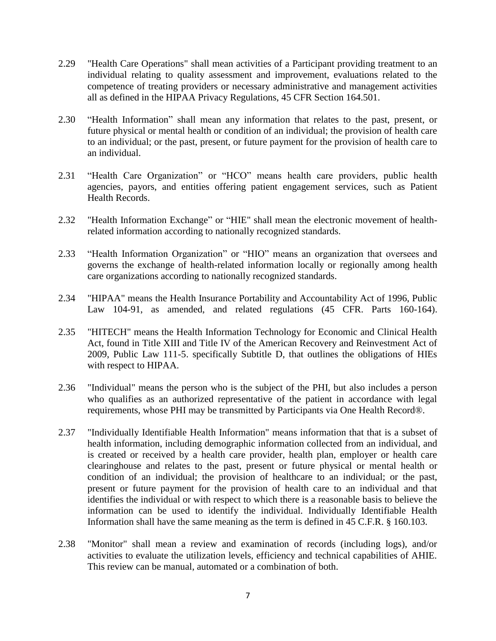- 2.29 "Health Care Operations" shall mean activities of a Participant providing treatment to an individual relating to quality assessment and improvement, evaluations related to the competence of treating providers or necessary administrative and management activities all as defined in the HIPAA Privacy Regulations, 45 CFR Section 164.501.
- 2.30 "Health Information" shall mean any information that relates to the past, present, or future physical or mental health or condition of an individual; the provision of health care to an individual; or the past, present, or future payment for the provision of health care to an individual.
- 2.31 "Health Care Organization" or "HCO" means health care providers, public health agencies, payors, and entities offering patient engagement services, such as Patient Health Records.
- 2.32 "Health Information Exchange" or "HIE" shall mean the electronic movement of healthrelated information according to nationally recognized standards.
- 2.33 "Health Information Organization" or "HIO" means an organization that oversees and governs the exchange of health-related information locally or regionally among health care organizations according to nationally recognized standards.
- 2.34 "HIPAA" means the Health Insurance Portability and Accountability Act of 1996, Public Law 104-91, as amended, and related regulations (45 CFR. Parts 160-164).
- 2.35 "HITECH" means the Health Information Technology for Economic and Clinical Health Act, found in Title XIII and Title IV of the American Recovery and Reinvestment Act of 2009, Public Law 111-5. specifically Subtitle D, that outlines the obligations of HIEs with respect to HIPAA.
- 2.36 "Individual" means the person who is the subject of the PHI, but also includes a person who qualifies as an authorized representative of the patient in accordance with legal requirements, whose PHI may be transmitted by Participants via One Health Record®.
- 2.37 "Individually Identifiable Health Information" means information that that is a subset of health information, including demographic information collected from an individual, and is created or received by a health care provider, health plan, employer or health care clearinghouse and relates to the past, present or future physical or mental health or condition of an individual; the provision of healthcare to an individual; or the past, present or future payment for the provision of health care to an individual and that identifies the individual or with respect to which there is a reasonable basis to believe the information can be used to identify the individual. Individually Identifiable Health Information shall have the same meaning as the term is defined in 45 C.F.R. § 160.103.
- 2.38 "Monitor" shall mean a review and examination of records (including logs), and/or activities to evaluate the utilization levels, efficiency and technical capabilities of AHIE. This review can be manual, automated or a combination of both.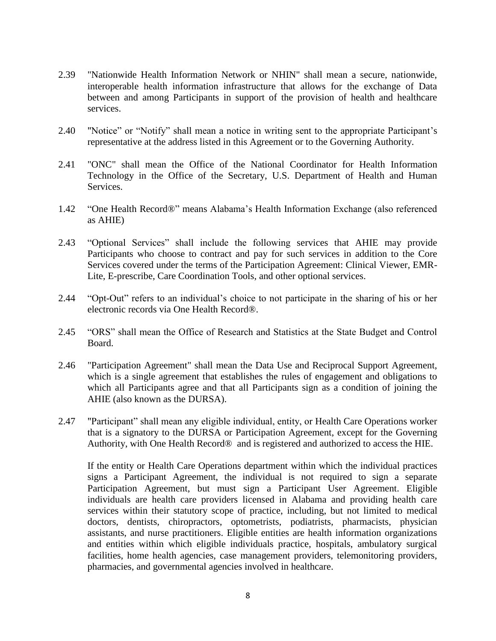- 2.39 "Nationwide Health Information Network or NHIN" shall mean a secure, nationwide, interoperable health information infrastructure that allows for the exchange of Data between and among Participants in support of the provision of health and healthcare services.
- 2.40 "Notice" or "Notify" shall mean a notice in writing sent to the appropriate Participant's representative at the address listed in this Agreement or to the Governing Authority.
- 2.41 "ONC" shall mean the Office of the National Coordinator for Health Information Technology in the Office of the Secretary, U.S. Department of Health and Human Services.
- 1.42 "One Health Record®" means Alabama's Health Information Exchange (also referenced as AHIE)
- 2.43 "Optional Services" shall include the following services that AHIE may provide Participants who choose to contract and pay for such services in addition to the Core Services covered under the terms of the Participation Agreement: Clinical Viewer, EMR-Lite, E-prescribe, Care Coordination Tools, and other optional services.
- 2.44 "Opt-Out" refers to an individual's choice to not participate in the sharing of his or her electronic records via One Health Record®.
- 2.45 "ORS" shall mean the Office of Research and Statistics at the State Budget and Control Board.
- 2.46 "Participation Agreement" shall mean the Data Use and Reciprocal Support Agreement, which is a single agreement that establishes the rules of engagement and obligations to which all Participants agree and that all Participants sign as a condition of joining the AHIE (also known as the DURSA).
- 2.47 "Participant" shall mean any eligible individual, entity, or Health Care Operations worker that is a signatory to the DURSA or Participation Agreement, except for the Governing Authority, with One Health Record® and is registered and authorized to access the HIE.

If the entity or Health Care Operations department within which the individual practices signs a Participant Agreement, the individual is not required to sign a separate Participation Agreement, but must sign a Participant User Agreement. Eligible individuals are health care providers licensed in Alabama and providing health care services within their statutory scope of practice, including, but not limited to medical doctors, dentists, chiropractors, optometrists, podiatrists, pharmacists, physician assistants, and nurse practitioners. Eligible entities are health information organizations and entities within which eligible individuals practice, hospitals, ambulatory surgical facilities, home health agencies, case management providers, telemonitoring providers, pharmacies, and governmental agencies involved in healthcare.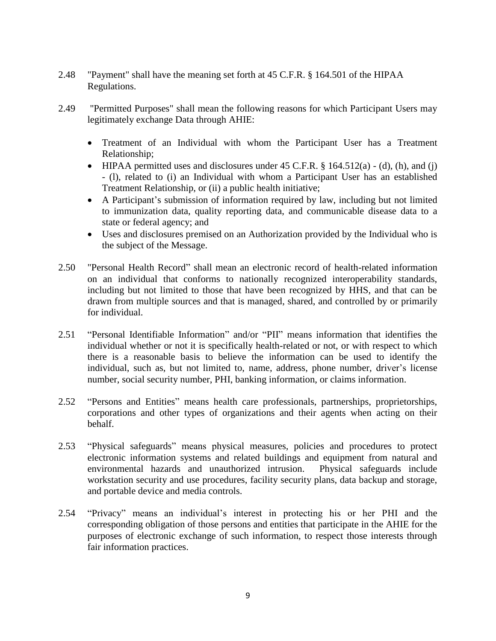- 2.48 "Payment" shall have the meaning set forth at 45 C.F.R. § 164.501 of the HIPAA Regulations.
- 2.49 "Permitted Purposes" shall mean the following reasons for which Participant Users may legitimately exchange Data through AHIE:
	- Treatment of an Individual with whom the Participant User has a Treatment Relationship;
	- $\bullet$  HIPAA permitted uses and disclosures under 45 C.F.R. § 164.512(a) (d), (h), and (j) - (l), related to (i) an Individual with whom a Participant User has an established Treatment Relationship, or (ii) a public health initiative;
	- A Participant's submission of information required by law, including but not limited to immunization data, quality reporting data, and communicable disease data to a state or federal agency; and
	- Uses and disclosures premised on an Authorization provided by the Individual who is the subject of the Message.
- 2.50 "Personal Health Record" shall mean an electronic record of health-related information on an individual that conforms to nationally recognized interoperability standards, including but not limited to those that have been recognized by HHS, and that can be drawn from multiple sources and that is managed, shared, and controlled by or primarily for individual.
- 2.51 "Personal Identifiable Information" and/or "PII" means information that identifies the individual whether or not it is specifically health-related or not, or with respect to which there is a reasonable basis to believe the information can be used to identify the individual, such as, but not limited to, name, address, phone number, driver's license number, social security number, PHI, banking information, or claims information.
- 2.52 "Persons and Entities" means health care professionals, partnerships, proprietorships, corporations and other types of organizations and their agents when acting on their behalf.
- 2.53 "Physical safeguards" means physical measures, policies and procedures to protect electronic information systems and related buildings and equipment from natural and environmental hazards and unauthorized intrusion. Physical safeguards include workstation security and use procedures, facility security plans, data backup and storage, and portable device and media controls.
- 2.54 "Privacy" means an individual's interest in protecting his or her PHI and the corresponding obligation of those persons and entities that participate in the AHIE for the purposes of electronic exchange of such information, to respect those interests through fair information practices.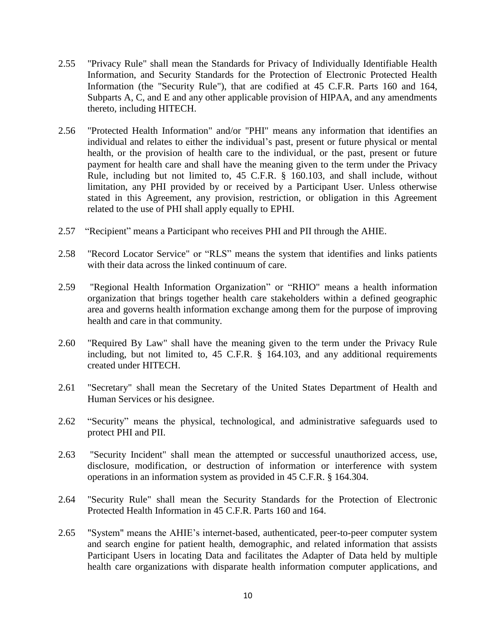- 2.55 "Privacy Rule" shall mean the Standards for Privacy of Individually Identifiable Health Information, and Security Standards for the Protection of Electronic Protected Health Information (the "Security Rule"), that are codified at 45 C.F.R. Parts 160 and 164, Subparts A, C, and E and any other applicable provision of HIPAA, and any amendments thereto, including HITECH.
- 2.56 "Protected Health Information" and/or "PHI" means any information that identifies an individual and relates to either the individual's past, present or future physical or mental health, or the provision of health care to the individual, or the past, present or future payment for health care and shall have the meaning given to the term under the Privacy Rule, including but not limited to, 45 C.F.R. § 160.103, and shall include, without limitation, any PHI provided by or received by a Participant User. Unless otherwise stated in this Agreement, any provision, restriction, or obligation in this Agreement related to the use of PHI shall apply equally to EPHI.
- 2.57 "Recipient" means a Participant who receives PHI and PII through the AHIE.
- 2.58 "Record Locator Service" or "RLS" means the system that identifies and links patients with their data across the linked continuum of care.
- 2.59 "Regional Health Information Organization" or "RHIO" means a health information organization that brings together health care stakeholders within a defined geographic area and governs health information exchange among them for the purpose of improving health and care in that community.
- 2.60 "Required By Law" shall have the meaning given to the term under the Privacy Rule including, but not limited to, 45 C.F.R. § 164.103, and any additional requirements created under HITECH.
- 2.61 "Secretary" shall mean the Secretary of the United States Department of Health and Human Services or his designee.
- 2.62 "Security" means the physical, technological, and administrative safeguards used to protect PHI and PII.
- 2.63 "Security Incident" shall mean the attempted or successful unauthorized access, use, disclosure, modification, or destruction of information or interference with system operations in an information system as provided in 45 C.F.R. § 164.304.
- 2.64 "Security Rule" shall mean the Security Standards for the Protection of Electronic Protected Health Information in 45 C.F.R. Parts 160 and 164.
- 2.65 "System" means the AHIE's internet-based, authenticated, peer-to-peer computer system and search engine for patient health, demographic, and related information that assists Participant Users in locating Data and facilitates the Adapter of Data held by multiple health care organizations with disparate health information computer applications, and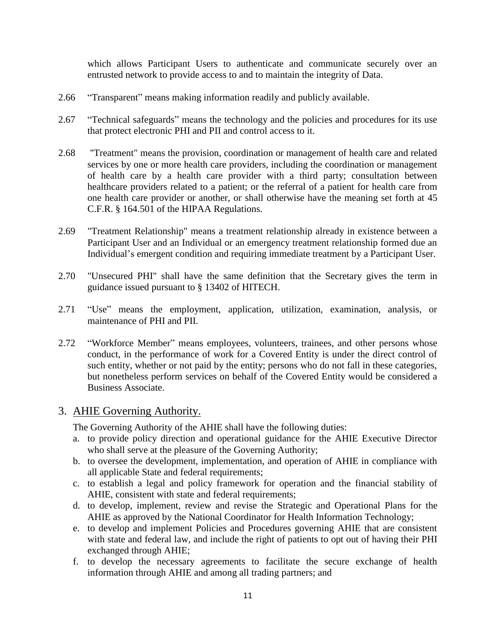which allows Participant Users to authenticate and communicate securely over an entrusted network to provide access to and to maintain the integrity of Data.

- 2.66 "Transparent" means making information readily and publicly available.
- 2.67 "Technical safeguards" means the technology and the policies and procedures for its use that protect electronic PHI and PII and control access to it.
- 2.68 "Treatment" means the provision, coordination or management of health care and related services by one or more health care providers, including the coordination or management of health care by a health care provider with a third party; consultation between healthcare providers related to a patient; or the referral of a patient for health care from one health care provider or another, or shall otherwise have the meaning set forth at 45 C.F.R. § 164.501 of the HIPAA Regulations.
- 2.69 "Treatment Relationship" means a treatment relationship already in existence between a Participant User and an Individual or an emergency treatment relationship formed due an Individual's emergent condition and requiring immediate treatment by a Participant User.
- 2.70 "Unsecured PHI" shall have the same definition that the Secretary gives the term in guidance issued pursuant to § 13402 of HITECH.
- 2.71 "Use" means the employment, application, utilization, examination, analysis, or maintenance of PHI and PII.
- 2.72 "Workforce Member" means employees, volunteers, trainees, and other persons whose conduct, in the performance of work for a Covered Entity is under the direct control of such entity, whether or not paid by the entity; persons who do not fall in these categories, but nonetheless perform services on behalf of the Covered Entity would be considered a Business Associate.

#### <span id="page-10-0"></span>3. AHIE Governing Authority.

The Governing Authority of the AHIE shall have the following duties:

- a. to provide policy direction and operational guidance for the AHIE Executive Director who shall serve at the pleasure of the Governing Authority;
- b. to oversee the development, implementation, and operation of AHIE in compliance with all applicable State and federal requirements;
- c. to establish a legal and policy framework for operation and the financial stability of AHIE, consistent with state and federal requirements;
- d. to develop, implement, review and revise the Strategic and Operational Plans for the AHIE as approved by the National Coordinator for Health Information Technology;
- e. to develop and implement Policies and Procedures governing AHIE that are consistent with state and federal law, and include the right of patients to opt out of having their PHI exchanged through AHIE;
- f. to develop the necessary agreements to facilitate the secure exchange of health information through AHIE and among all trading partners; and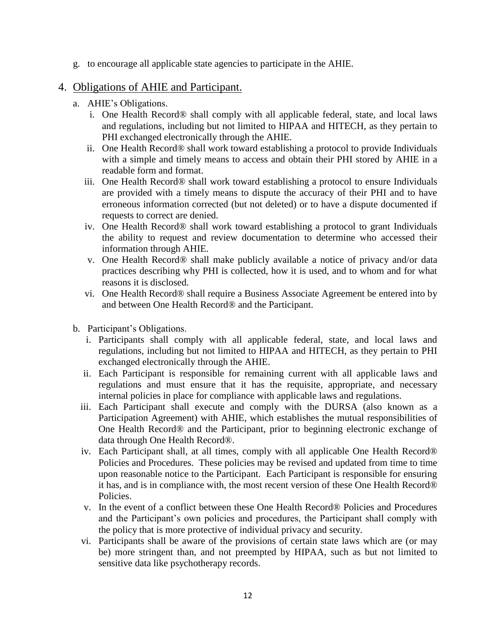g. to encourage all applicable state agencies to participate in the AHIE.

#### <span id="page-11-0"></span>4. Obligations of AHIE and Participant.

- a. AHIE's Obligations.
	- i. One Health Record® shall comply with all applicable federal, state, and local laws and regulations, including but not limited to HIPAA and HITECH, as they pertain to PHI exchanged electronically through the AHIE.
	- ii. One Health Record® shall work toward establishing a protocol to provide Individuals with a simple and timely means to access and obtain their PHI stored by AHIE in a readable form and format.
	- iii. One Health Record® shall work toward establishing a protocol to ensure Individuals are provided with a timely means to dispute the accuracy of their PHI and to have erroneous information corrected (but not deleted) or to have a dispute documented if requests to correct are denied.
	- iv. One Health Record® shall work toward establishing a protocol to grant Individuals the ability to request and review documentation to determine who accessed their information through AHIE.
	- v. One Health Record® shall make publicly available a notice of privacy and/or data practices describing why PHI is collected, how it is used, and to whom and for what reasons it is disclosed.
	- vi. One Health Record® shall require a Business Associate Agreement be entered into by and between One Health Record® and the Participant.
- b. Participant's Obligations.
	- i. Participants shall comply with all applicable federal, state, and local laws and regulations, including but not limited to HIPAA and HITECH, as they pertain to PHI exchanged electronically through the AHIE.
	- ii. Each Participant is responsible for remaining current with all applicable laws and regulations and must ensure that it has the requisite, appropriate, and necessary internal policies in place for compliance with applicable laws and regulations.
	- iii. Each Participant shall execute and comply with the DURSA (also known as a Participation Agreement) with AHIE, which establishes the mutual responsibilities of One Health Record® and the Participant, prior to beginning electronic exchange of data through One Health Record®.
	- iv. Each Participant shall, at all times, comply with all applicable One Health Record® Policies and Procedures. These policies may be revised and updated from time to time upon reasonable notice to the Participant. Each Participant is responsible for ensuring it has, and is in compliance with, the most recent version of these One Health Record® Policies.
	- v. In the event of a conflict between these One Health Record® Policies and Procedures and the Participant's own policies and procedures, the Participant shall comply with the policy that is more protective of individual privacy and security.
	- vi. Participants shall be aware of the provisions of certain state laws which are (or may be) more stringent than, and not preempted by HIPAA, such as but not limited to sensitive data like psychotherapy records.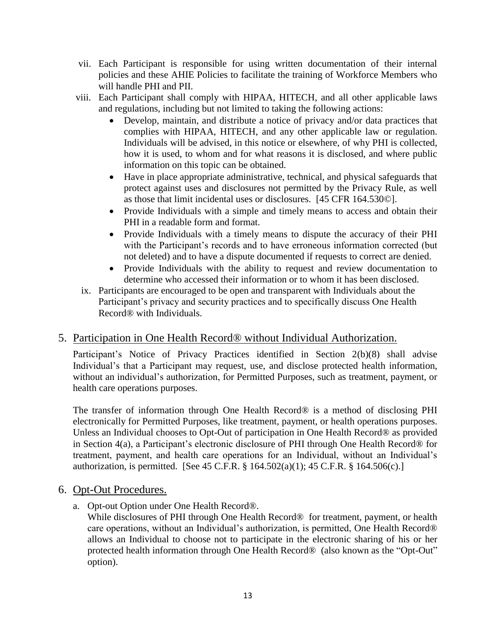- vii. Each Participant is responsible for using written documentation of their internal policies and these AHIE Policies to facilitate the training of Workforce Members who will handle PHI and PII.
- viii. Each Participant shall comply with HIPAA, HITECH, and all other applicable laws and regulations, including but not limited to taking the following actions:
	- Develop, maintain, and distribute a notice of privacy and/or data practices that complies with HIPAA, HITECH, and any other applicable law or regulation. Individuals will be advised, in this notice or elsewhere, of why PHI is collected, how it is used, to whom and for what reasons it is disclosed, and where public information on this topic can be obtained.
	- Have in place appropriate administrative, technical, and physical safeguards that protect against uses and disclosures not permitted by the Privacy Rule, as well as those that limit incidental uses or disclosures. [45 CFR 164.530©].
	- Provide Individuals with a simple and timely means to access and obtain their PHI in a readable form and format.
	- Provide Individuals with a timely means to dispute the accuracy of their PHI with the Participant's records and to have erroneous information corrected (but not deleted) and to have a dispute documented if requests to correct are denied.
	- Provide Individuals with the ability to request and review documentation to determine who accessed their information or to whom it has been disclosed.
- ix. Participants are encouraged to be open and transparent with Individuals about the Participant's privacy and security practices and to specifically discuss One Health Record® with Individuals.

#### <span id="page-12-0"></span>5. Participation in One Health Record® without Individual Authorization.

Participant's Notice of Privacy Practices identified in Section 2(b)(8) shall advise Individual's that a Participant may request, use, and disclose protected health information, without an individual's authorization, for Permitted Purposes, such as treatment, payment, or health care operations purposes.

The transfer of information through One Health Record® is a method of disclosing PHI electronically for Permitted Purposes, like treatment, payment, or health operations purposes. Unless an Individual chooses to Opt-Out of participation in One Health Record® as provided in Section 4(a), a Participant's electronic disclosure of PHI through One Health Record® for treatment, payment, and health care operations for an Individual, without an Individual's authorization, is permitted. [See 45 C.F.R. § 164.502(a)(1); 45 C.F.R. § 164.506(c).]

#### <span id="page-12-1"></span>6. Opt-Out Procedures.

a. Opt-out Option under One Health Record®.

While disclosures of PHI through One Health Record<sup>®</sup> for treatment, payment, or health care operations, without an Individual's authorization, is permitted, One Health Record® allows an Individual to choose not to participate in the electronic sharing of his or her protected health information through One Health Record® (also known as the "Opt-Out" option).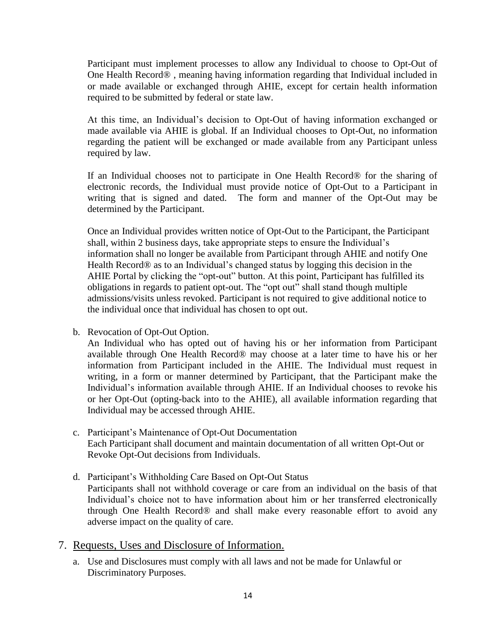Participant must implement processes to allow any Individual to choose to Opt-Out of One Health Record® , meaning having information regarding that Individual included in or made available or exchanged through AHIE, except for certain health information required to be submitted by federal or state law.

At this time, an Individual's decision to Opt-Out of having information exchanged or made available via AHIE is global. If an Individual chooses to Opt-Out, no information regarding the patient will be exchanged or made available from any Participant unless required by law.

If an Individual chooses not to participate in One Health Record® for the sharing of electronic records, the Individual must provide notice of Opt-Out to a Participant in writing that is signed and dated. The form and manner of the Opt-Out may be determined by the Participant.

Once an Individual provides written notice of Opt-Out to the Participant, the Participant shall, within 2 business days, take appropriate steps to ensure the Individual's information shall no longer be available from Participant through AHIE and notify One Health Record® as to an Individual's changed status by logging this decision in the AHIE Portal by clicking the "opt-out" button. At this point, Participant has fulfilled its obligations in regards to patient opt-out. The "opt out" shall stand though multiple admissions/visits unless revoked. Participant is not required to give additional notice to the individual once that individual has chosen to opt out.

b. Revocation of Opt-Out Option.

An Individual who has opted out of having his or her information from Participant available through One Health Record® may choose at a later time to have his or her information from Participant included in the AHIE. The Individual must request in writing, in a form or manner determined by Participant, that the Participant make the Individual's information available through AHIE. If an Individual chooses to revoke his or her Opt-Out (opting-back into to the AHIE), all available information regarding that Individual may be accessed through AHIE.

- c. Participant's Maintenance of Opt-Out Documentation Each Participant shall document and maintain documentation of all written Opt-Out or Revoke Opt-Out decisions from Individuals.
- d. Participant's Withholding Care Based on Opt-Out Status Participants shall not withhold coverage or care from an individual on the basis of that Individual's choice not to have information about him or her transferred electronically through One Health Record® and shall make every reasonable effort to avoid any adverse impact on the quality of care.
- <span id="page-13-0"></span>7. Requests, Uses and Disclosure of Information.
	- a. Use and Disclosures must comply with all laws and not be made for Unlawful or Discriminatory Purposes.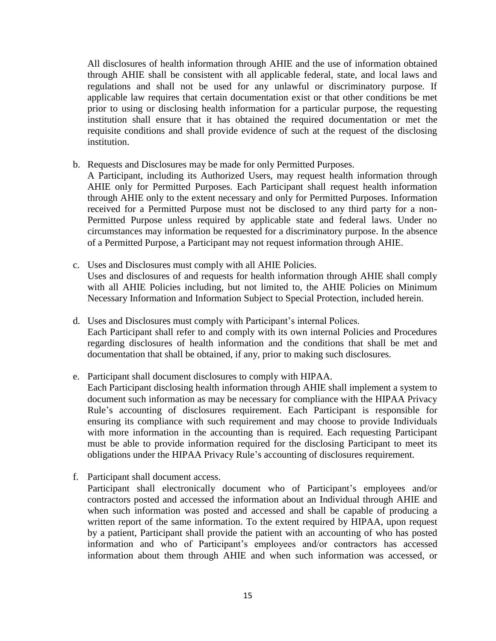All disclosures of health information through AHIE and the use of information obtained through AHIE shall be consistent with all applicable federal, state, and local laws and regulations and shall not be used for any unlawful or discriminatory purpose. If applicable law requires that certain documentation exist or that other conditions be met prior to using or disclosing health information for a particular purpose, the requesting institution shall ensure that it has obtained the required documentation or met the requisite conditions and shall provide evidence of such at the request of the disclosing institution.

b. Requests and Disclosures may be made for only Permitted Purposes.

A Participant, including its Authorized Users, may request health information through AHIE only for Permitted Purposes. Each Participant shall request health information through AHIE only to the extent necessary and only for Permitted Purposes. Information received for a Permitted Purpose must not be disclosed to any third party for a non-Permitted Purpose unless required by applicable state and federal laws. Under no circumstances may information be requested for a discriminatory purpose. In the absence of a Permitted Purpose, a Participant may not request information through AHIE.

- c. Uses and Disclosures must comply with all AHIE Policies. Uses and disclosures of and requests for health information through AHIE shall comply with all AHIE Policies including, but not limited to, the AHIE Policies on Minimum Necessary Information and Information Subject to Special Protection, included herein.
- d. Uses and Disclosures must comply with Participant's internal Polices. Each Participant shall refer to and comply with its own internal Policies and Procedures regarding disclosures of health information and the conditions that shall be met and documentation that shall be obtained, if any, prior to making such disclosures.
- e. Participant shall document disclosures to comply with HIPAA.

Each Participant disclosing health information through AHIE shall implement a system to document such information as may be necessary for compliance with the HIPAA Privacy Rule's accounting of disclosures requirement. Each Participant is responsible for ensuring its compliance with such requirement and may choose to provide Individuals with more information in the accounting than is required. Each requesting Participant must be able to provide information required for the disclosing Participant to meet its obligations under the HIPAA Privacy Rule's accounting of disclosures requirement.

f. Participant shall document access.

Participant shall electronically document who of Participant's employees and/or contractors posted and accessed the information about an Individual through AHIE and when such information was posted and accessed and shall be capable of producing a written report of the same information. To the extent required by HIPAA, upon request by a patient, Participant shall provide the patient with an accounting of who has posted information and who of Participant's employees and/or contractors has accessed information about them through AHIE and when such information was accessed, or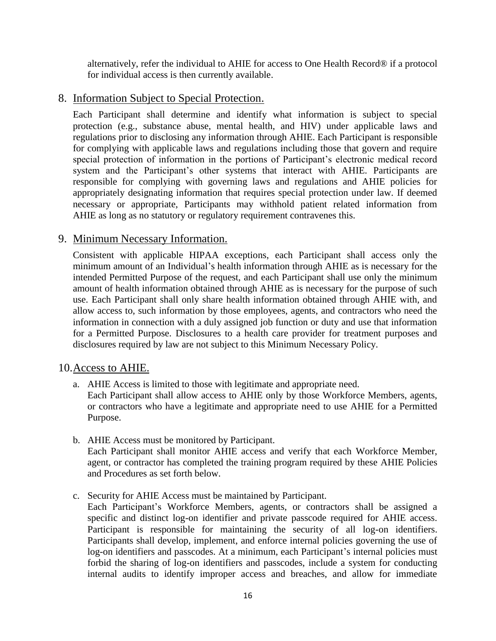alternatively, refer the individual to AHIE for access to One Health Record® if a protocol for individual access is then currently available.

#### <span id="page-15-0"></span>8. Information Subject to Special Protection.

Each Participant shall determine and identify what information is subject to special protection (e.g., substance abuse, mental health, and HIV) under applicable laws and regulations prior to disclosing any information through AHIE. Each Participant is responsible for complying with applicable laws and regulations including those that govern and require special protection of information in the portions of Participant's electronic medical record system and the Participant's other systems that interact with AHIE. Participants are responsible for complying with governing laws and regulations and AHIE policies for appropriately designating information that requires special protection under law. If deemed necessary or appropriate, Participants may withhold patient related information from AHIE as long as no statutory or regulatory requirement contravenes this.

#### <span id="page-15-1"></span>9. Minimum Necessary Information.

Consistent with applicable HIPAA exceptions, each Participant shall access only the minimum amount of an Individual's health information through AHIE as is necessary for the intended Permitted Purpose of the request, and each Participant shall use only the minimum amount of health information obtained through AHIE as is necessary for the purpose of such use. Each Participant shall only share health information obtained through AHIE with, and allow access to, such information by those employees, agents, and contractors who need the information in connection with a duly assigned job function or duty and use that information for a Permitted Purpose. Disclosures to a health care provider for treatment purposes and disclosures required by law are not subject to this Minimum Necessary Policy.

#### <span id="page-15-2"></span>10.Access to AHIE.

- a. AHIE Access is limited to those with legitimate and appropriate need. Each Participant shall allow access to AHIE only by those Workforce Members, agents, or contractors who have a legitimate and appropriate need to use AHIE for a Permitted Purpose.
- b. AHIE Access must be monitored by Participant. Each Participant shall monitor AHIE access and verify that each Workforce Member, agent, or contractor has completed the training program required by these AHIE Policies and Procedures as set forth below.
- c. Security for AHIE Access must be maintained by Participant.

Each Participant's Workforce Members, agents, or contractors shall be assigned a specific and distinct log-on identifier and private passcode required for AHIE access. Participant is responsible for maintaining the security of all log-on identifiers. Participants shall develop, implement, and enforce internal policies governing the use of log-on identifiers and passcodes. At a minimum, each Participant's internal policies must forbid the sharing of log-on identifiers and passcodes, include a system for conducting internal audits to identify improper access and breaches, and allow for immediate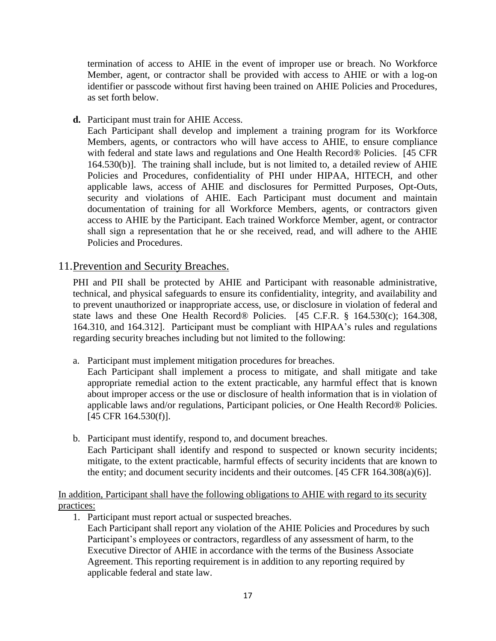termination of access to AHIE in the event of improper use or breach. No Workforce Member, agent, or contractor shall be provided with access to AHIE or with a log-on identifier or passcode without first having been trained on AHIE Policies and Procedures, as set forth below.

**d.** Participant must train for AHIE Access.

Each Participant shall develop and implement a training program for its Workforce Members, agents, or contractors who will have access to AHIE, to ensure compliance with federal and state laws and regulations and One Health Record® Policies. [45 CFR 164.530(b)]. The training shall include, but is not limited to, a detailed review of AHIE Policies and Procedures, confidentiality of PHI under HIPAA, HITECH, and other applicable laws, access of AHIE and disclosures for Permitted Purposes, Opt-Outs, security and violations of AHIE. Each Participant must document and maintain documentation of training for all Workforce Members, agents, or contractors given access to AHIE by the Participant. Each trained Workforce Member, agent, or contractor shall sign a representation that he or she received, read, and will adhere to the AHIE Policies and Procedures.

#### <span id="page-16-0"></span>11.Prevention and Security Breaches.

PHI and PII shall be protected by AHIE and Participant with reasonable administrative, technical, and physical safeguards to ensure its confidentiality, integrity, and availability and to prevent unauthorized or inappropriate access, use, or disclosure in violation of federal and state laws and these One Health Record® Policies. [45 C.F.R. § 164.530(c); 164.308, 164.310, and 164.312]. Participant must be compliant with HIPAA's rules and regulations regarding security breaches including but not limited to the following:

a. Participant must implement mitigation procedures for breaches.

Each Participant shall implement a process to mitigate, and shall mitigate and take appropriate remedial action to the extent practicable, any harmful effect that is known about improper access or the use or disclosure of health information that is in violation of applicable laws and/or regulations, Participant policies, or One Health Record® Policies. [45 CFR 164.530(f)].

b. Participant must identify, respond to, and document breaches. Each Participant shall identify and respond to suspected or known security incidents; mitigate, to the extent practicable, harmful effects of security incidents that are known to the entity; and document security incidents and their outcomes. [45 CFR 164.308(a)(6)].

In addition, Participant shall have the following obligations to AHIE with regard to its security practices:

1. Participant must report actual or suspected breaches.

Each Participant shall report any violation of the AHIE Policies and Procedures by such Participant's employees or contractors, regardless of any assessment of harm, to the Executive Director of AHIE in accordance with the terms of the Business Associate Agreement. This reporting requirement is in addition to any reporting required by applicable federal and state law.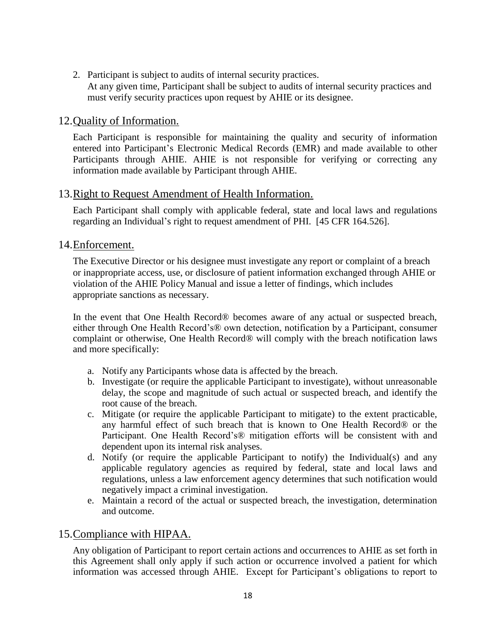2. Participant is subject to audits of internal security practices. At any given time, Participant shall be subject to audits of internal security practices and must verify security practices upon request by AHIE or its designee.

#### <span id="page-17-0"></span>12.Quality of Information.

Each Participant is responsible for maintaining the quality and security of information entered into Participant's Electronic Medical Records (EMR) and made available to other Participants through AHIE. AHIE is not responsible for verifying or correcting any information made available by Participant through AHIE.

#### <span id="page-17-1"></span>13.Right to Request Amendment of Health Information.

Each Participant shall comply with applicable federal, state and local laws and regulations regarding an Individual's right to request amendment of PHI. [45 CFR 164.526].

#### <span id="page-17-2"></span>14.Enforcement.

The Executive Director or his designee must investigate any report or complaint of a breach or inappropriate access, use, or disclosure of patient information exchanged through AHIE or violation of the AHIE Policy Manual and issue a letter of findings, which includes appropriate sanctions as necessary.

In the event that One Health Record® becomes aware of any actual or suspected breach, either through One Health Record's® own detection, notification by a Participant, consumer complaint or otherwise, One Health Record® will comply with the breach notification laws and more specifically:

- a. Notify any Participants whose data is affected by the breach.
- b. Investigate (or require the applicable Participant to investigate), without unreasonable delay, the scope and magnitude of such actual or suspected breach, and identify the root cause of the breach.
- c. Mitigate (or require the applicable Participant to mitigate) to the extent practicable, any harmful effect of such breach that is known to One Health Record® or the Participant. One Health Record's® mitigation efforts will be consistent with and dependent upon its internal risk analyses.
- d. Notify (or require the applicable Participant to notify) the Individual(s) and any applicable regulatory agencies as required by federal, state and local laws and regulations, unless a law enforcement agency determines that such notification would negatively impact a criminal investigation.
- e. Maintain a record of the actual or suspected breach, the investigation, determination and outcome.

#### <span id="page-17-3"></span>15.Compliance with HIPAA.

Any obligation of Participant to report certain actions and occurrences to AHIE as set forth in this Agreement shall only apply if such action or occurrence involved a patient for which information was accessed through AHIE. Except for Participant's obligations to report to